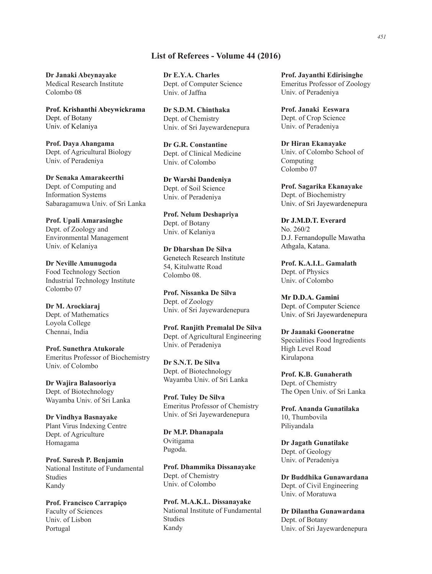## List of Referees - Volume 44 (2016)

Dr Janaki Abeynayake Medical Research Institute Colombo 08

Prof. Krishanthi Abeywickrama Dept. of Botany Univ. of Kelaniya

Prof. Daya Ahangama Dept. of Agricultural Biology Univ. of Peradeniya

**Dr Senaka Amarakeerthi** Dept. of Computing and Information Systems Sabaragamuwa Univ. of Sri Lanka

**Prof. Upali Amarasinghe** Dept. of Zoology and Environmental Management Univ. of Kelaniya

**Dr Neville Amunugoda** Food Technology Section Industrial Technology Institute Colombo 07

Dr M. Arockiaraj Dept. of Mathematics Loyola College Chennai, India

**Prof. Sunethra Atukorale** Emeritus Professor of Biochemistry Univ. of Colombo

Dr Wajira Balasooriya Dept. of Biotechnology Wayamba Univ. of Sri Lanka

Dr Vindhya Basnayake Plant Virus Indexing Centre Dept. of Agriculture Homagama

**Prof. Suresh P. Benjamin** National Institute of Fundamental Studies Kandy

Prof. Francisco Carrapiço Faculty of Sciences Univ. of Lisbon Portugal

Dr E.Y.A. Charles Dept. of Computer Science Univ. of Jaffna

Dr S.D.M. Chinthaka Dept. of Chemistry Univ. of Sri Jayewardenepura

**Dr G.R. Constantine** Dept. of Clinical Medicine Univ. of Colombo

**Dr Warshi Dandeniya** Dept. of Soil Science Univ. of Peradeniya

Prof. Nelum Deshapriya Dept. of Botany Univ. of Kelaniya

Dr Dharshan De Silva Genetech Research Institute 54, Kitulwatte Road Colombo 08.

**Prof. Nissanka De Silva** Dept. of Zoology Univ. of Sri Jayewardenepura

**Prof. Ranjith Premalal De Silva** Dept. of Agricultural Engineering Univ. of Peradeniya

Dr S.N.T. De Silva Dept. of Biotechnology Wayamba Univ. of Sri Lanka

**Prof. Tuley De Silva** Emeritus Professor of Chemistry Univ. of Sri Jayewardenepura

Dr M.P. Dhanapala Ovitigama Pugoda.

Prof. Dhammika Dissanayake Dept. of Chemistry Univ. of Colombo

Prof. M.A.K.L. Dissanavake National Institute of Fundamental Studies Kandy

Prof. Jayanthi Edirisinghe Emeritus Professor of Zoology Univ. of Peradeniya

**Prof. Janaki Eeswara** Dept. of Crop Science Univ. of Peradeniya

**Dr Hiran Ekanayake** Univ. of Colombo School of Computing Colombo 07

Prof. Sagarika Ekanayake Dept. of Biochemistry Univ. of Sri Jayewardenepura

Dr J.M.D.T. Everard No. 260/2 D.J. Fernandopulle Mawatha Athgala, Katana.

Prof. K.A.I.L. Gamalath Dept. of Physics Univ. of Colombo

**Mr D.D.A. Gamini** Dept. of Computer Science Univ. of Sri Jayewardenepura

**Dr Jaanaki Gooneratne** Specialities Food Ingredients High Level Road Kirulapona

Prof. K.B. Gunaherath Dept. of Chemistry The Open Univ. of Sri Lanka

**Prof. Ananda Gunatilaka** 10, Thumbovila Piliyandala

**Dr Jagath Gunatilake** Dept. of Geology Univ. of Peradeniya

Dr Buddhika Gunawardana Dept. of Civil Engineering Univ. of Moratuwa

Dr Dilantha Gunawardana Dept. of Botany Univ. of Sri Jayewardenepura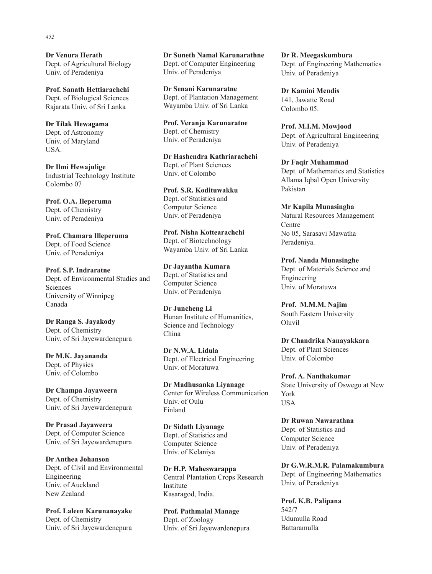**Dr Venura Herath** Dept. of Agricultural Biology Univ. of Peradeniya

**Prof. Sanath Hettiarachchi** Dept. of Biological Sciences Rajarata Univ. of Sri Lanka

**Dr Tilak Hewagama** Dept. of Astronomy Univ. of Maryland USA.

**Dr Ilmi Hewajulige** Industrial Technology Institute Colombo 07

Prof. O.A. Ileperuma Dept. of Chemistry Univ. of Peradeniya

Prof. Chamara Illeperuma Dept. of Food Science Univ. of Peradeniya

**Prof. S.P. Indraratne** Dept. of Environmental Studies and Sciences University of Winnipeg Canada

Dr Ranga S. Jayakody Dept. of Chemistry Univ. of Sri Jayewardenepura

Dr M.K. Javananda Dept. of Physics Univ. of Colombo

**Dr Champa Jayaweera** Dept. of Chemistry Univ. of Sri Jayewardenepura

**Dr Prasad Jayaweera** Dept. of Computer Science Univ. of Sri Jayewardenepura

**Dr Anthea Johanson** Dept. of Civil and Environmental Engineering Univ. of Auckland New Zealand

Prof. Laleen Karunanayake Dept. of Chemistry Univ. of Sri Jayewardenepura

**Dr Suneth Namal Karunarathne** Dept. of Computer Engineering Univ. of Peradeniya

**Dr Senani Karunaratne** Dept. of Plantation Management Wayamba Univ. of Sri Lanka

Prof. Veranja Karunaratne Dept. of Chemistry Univ. of Peradeniya

**Dr Hashendra Kathriarachchi** Dept. of Plant Sciences Univ. of Colombo

Prof. S.R. Kodituwakku Dept. of Statistics and Computer Science Univ. of Peradeniya

**Prof. Nisha Kottearachchi** Dept. of Biotechnology Wayamba Univ. of Sri Lanka

**Dr Javantha Kumara** Dept. of Statistics and Computer Science Univ. of Peradeniya

**Dr Juncheng Li** Hunan Institute of Humanities, Science and Technology China

Dr N.W.A. Lidula Dept. of Electrical Engineering Univ. of Moratuwa

Dr Madhusanka Liyanage Center for Wireless Communication Univ. of Oulu Finland

**Dr Sidath Liyanage** Dept. of Statistics and Computer Science Univ. of Kelaniya

**Dr H.P. Maheswarappa** Central Plantation Crops Research Institute Kasaragod, India.

**Prof. Pathmalal Manage** Dept. of Zoology Univ. of Sri Jayewardenepura Dr R. Meegaskumbura Dept. of Engineering Mathematics Univ. of Peradeniya

**Dr Kamini Mendis** 141, Jawatte Road Colombo 05.

Prof. M.I.M. Mowjood Dept. of Agricultural Engineering Univ. of Peradeniya

**Dr Faqir Muhammad** Dept. of Mathematics and Statistics Allama Iqbal Open University Pakistan

**Mr Kapila Munasingha** Natural Resources Management Centre No 05, Sarasavi Mawatha Peradeniya.

**Prof. Nanda Munasinghe** Dept. of Materials Science and Engineering Univ. of Moratuwa

Prof. M.M.M. Najim South Eastern University Oluvil

Dr Chandrika Nanayakkara Dept. of Plant Sciences Univ. of Colombo

**Prof. A. Nanthakumar** State University of Oswego at New York USA

Dr Ruwan Nawarathna Dept. of Statistics and Computer Science Univ. of Peradeniya

Dr G.W.R.M.R. Palamakumbura Dept. of Engineering Mathematics Univ. of Peradeniya

Prof. K.B. Palipana 542/7 Udumulla Road Battaramulla

## *452*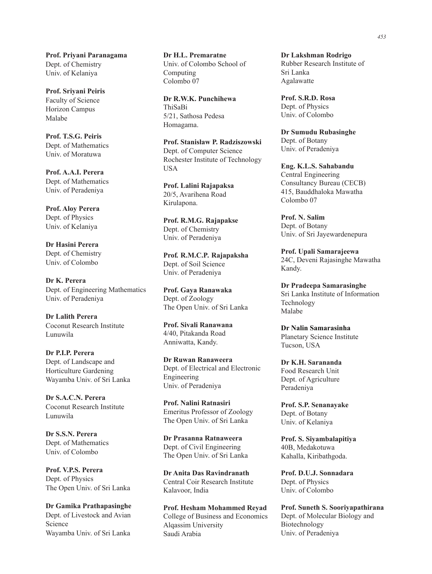Prof. Priyani Paranagama Dept. of Chemistry Univ. of Kelaniya

**Prof. Sriyani Peiris** Faculty of Science Horizon Campus Malabe

**Prof. T.S.G. Peiris** Dept. of Mathematics Univ. of Moratuwa

Prof. A.A.I. Perera Dept. of Mathematics Univ. of Peradeniya

**Prof. Aloy Perera** Dept. of Physics Univ. of Kelaniya

**Dr Hasini Perera** Dept. of Chemistry Univ. of Colombo

Dr K. Perera Dept. of Engineering Mathematics Univ. of Peradeniya

**Dr Lalith Perera** Coconut Research Institute Lunuwila

Dr P.I.P. Perera Dept. of Landscape and Horticulture Gardening Wayamba Univ. of Sri Lanka

Dr S.A.C.N. Perera Coconut Research Institute Lunuwila

Dr S.S.N. Perera Dept. of Mathematics Univ. of Colombo

Prof. V.P.S. Perera Dept. of Physics The Open Univ. of Sri Lanka

**Dr Gamika Prathapasinghe** Dept. of Livestock and Avian Science Wayamba Univ. of Sri Lanka

**Dr H.L. Premaratne** Univ. of Colombo School of Computing Colombo 07

**Dr R.W.K. Punchihewa** ThiSaBi 5/21, Sathosa Pedesa Homagama.

**Prof. Stanisław P. Radziszowski** Dept. of Computer Science Rochester Institute of Technology USA

**Prof. Lalini Rajapaksa** 20/5, Avarihena Road Kirulapona.

Prof. R.M.G. Rajapakse Dept. of Chemistry Univ. of Peradeniya

**Prof. R.M.C.P. Rajapaksha** Dept. of Soil Science Univ. of Peradeniya

Prof. Gaya Ranawaka Dept. of Zoology The Open Univ. of Sri Lanka

**Prof. Sivali Ranawana** 4/40, Pitakanda Road Anniwatta, Kandy.

**Dr Ruwan Ranaweera** Dept. of Electrical and Electronic Engineering Univ. of Peradeniya

**Prof. Nalini Ratnasiri** Emeritus Professor of Zoology The Open Univ. of Sri Lanka

**Dr Prasanna Ratnaweera** Dept. of Civil Engineering The Open Univ. of Sri Lanka

**Dr Anita Das Ravindranath** Central Coir Research Institute Kalavoor, India

Prof. Hesham Mohammed Reyad College of Business and Economics Alqassim University Saudi Arabia

**Dr Lakshman Rodrigo** Rubber Research Institute of Sri Lanka Agalawatte

**Prof. S.R.D. Rosa** Dept. of Physics Univ. of Colombo

**Dr Sumudu Rubasinghe** Dept. of Botany Univ. of Peradeniya

**Eng. K.L.S. Sahabandu** Central Engineering Consultancy Bureau (CECB) 415, Bauddhaloka Mawatha Colombo 07

**Prof. N. Salim** Dept. of Botany Univ. of Sri Jayewardenepura

Prof. Upali Samarajeewa 24C, Deveni Rajasinghe Mawatha Kandy.

**Dr Pradeepa Samarasinghe** Sri Lanka Institute of Information Technology Malabe

**Dr Nalin Samarasinha** Planetary Science Institute Tucson, USA

Dr K.H. Sarananda Food Research Unit Dept. of Agriculture Peradeniya

Prof. S.P. Senanayake Dept. of Botany Univ. of Kelaniya

Prof. S. Siyambalapitiya 40B, Medakotuwa Kahalla, Kiribathgoda.

Prof. D.U.J. Sonnadara Dept. of Physics Univ. of Colombo

Prof. Suneth S. Sooriyapathirana Dept. of Molecular Biology and Biotechnology Univ. of Peradeniya